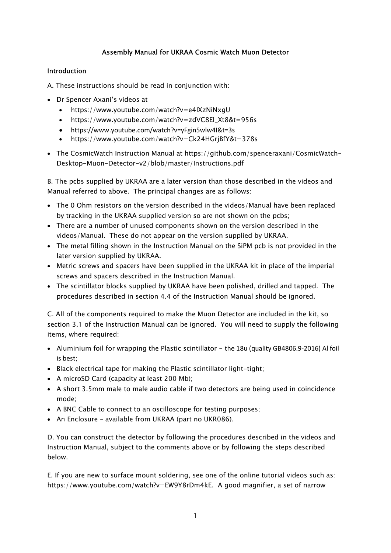# Assembly Manual for UKRAA Cosmic Watch Muon Detector

## Introduction

A. These instructions should be read in conjunction with:

- Dr Spencer Axani's videos at
	- https://www.youtube.com/watch?v=e4IXzNiNxgU
	- https://www.youtube.com/watch?v=zdVC8El\_Xt8&t=956s
	- https://www.youtube.com/watch?v=yFgin5wlw4I&t=3s
	- https://www.youtube.com/watch?v=Ck24HGrjBfY&t=378s
- The CosmicWatch Instruction Manual at https://github.com/spenceraxani/CosmicWatch-Desktop-Muon-Detector-v2/blob/master/Instructions.pdf

B. The pcbs supplied by UKRAA are a later version than those described in the videos and Manual referred to above. The principal changes are as follows:

- The 0 Ohm resistors on the version described in the videos/Manual have been replaced by tracking in the UKRAA supplied version so are not shown on the pcbs;
- There are a number of unused components shown on the version described in the videos/Manual. These do not appear on the version supplied by UKRAA.
- The metal filling shown in the Instruction Manual on the SiPM pcb is not provided in the later version supplied by UKRAA.
- Metric screws and spacers have been supplied in the UKRAA kit in place of the imperial screws and spacers described in the Instruction Manual.
- The scintillator blocks supplied by UKRAA have been polished, drilled and tapped. The procedures described in section 4.4 of the Instruction Manual should be ignored.

C. All of the components required to make the Muon Detector are included in the kit, so section 3.1 of the Instruction Manual can be ignored. You will need to supply the following items, where required:

- Aluminium foil for wrapping the Plastic scintillator the 18u (quality GB4806.9-2016) Al foil is best;
- Black electrical tape for making the Plastic scintillator light-tight;
- A microSD Card (capacity at least 200 Mb);
- A short 3.5mm male to male audio cable if two detectors are being used in coincidence mode;
- A BNC Cable to connect to an oscilloscope for testing purposes;
- An Enclosure available from UKRAA (part no UKR086).

D. You can construct the detector by following the procedures described in the videos and Instruction Manual, subject to the comments above or by following the steps described below.

E. If you are new to surface mount soldering, see one of the online tutorial videos such as: https://www.youtube.com/watch?v=EW9Y8rDm4kE. A good magnifier, a set of narrow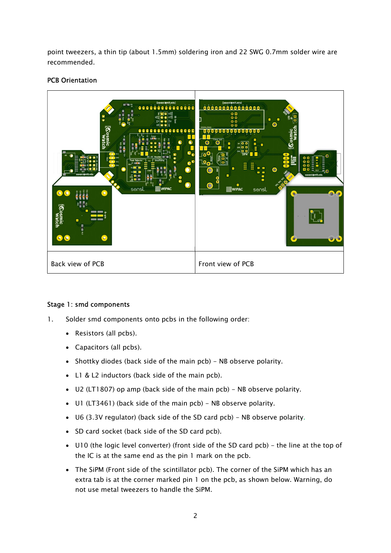point tweezers, a thin tip (about 1.5mm) soldering iron and 22 SWG 0.7mm solder wire are recommended.

## PCB Orientation



### Stage 1: smd components

- 1. Solder smd components onto pcbs in the following order:
	- Resistors (all pcbs).
	- Capacitors (all pcbs).
	- Shottky diodes (back side of the main pcb) NB observe polarity.
	- L1 & L2 inductors (back side of the main pcb).
	- U2 (LT1807) op amp (back side of the main pcb) NB observe polarity.
	- U1 (LT3461) (back side of the main pcb) NB observe polarity.
	- U6 (3.3V regulator) (back side of the SD card pcb) NB observe polarity.
	- SD card socket (back side of the SD card pcb).
	- U10 (the logic level converter) (front side of the SD card pcb) the line at the top of the IC is at the same end as the pin 1 mark on the pcb.
	- The SiPM (Front side of the scintillator pcb). The corner of the SiPM which has an extra tab is at the corner marked pin 1 on the pcb, as shown below. Warning, do not use metal tweezers to handle the SiPM.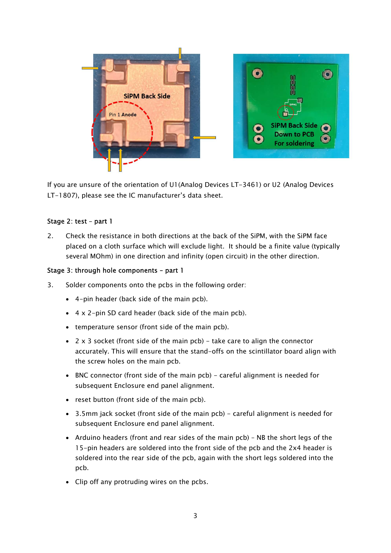

If you are unsure of the orientation of U1(Analog Devices LT-3461) or U2 (Analog Devices LT-1807), please see the IC manufacturer's data sheet.

## Stage 2: test – part 1

2. Check the resistance in both directions at the back of the SiPM, with the SiPM face placed on a cloth surface which will exclude light. It should be a finite value (typically several MOhm) in one direction and infinity (open circuit) in the other direction.

### Stage 3: through hole components – part 1

- 3. Solder components onto the pcbs in the following order:
	- 4-pin header (back side of the main pcb).
	- $\bullet$  4 x 2-pin SD card header (back side of the main pcb).
	- temperature sensor (front side of the main pcb).
	- $\bullet$  2 x 3 socket (front side of the main pcb) take care to align the connector accurately. This will ensure that the stand-offs on the scintillator board align with the screw holes on the main pcb.
	- BNC connector (front side of the main pcb) careful alignment is needed for subsequent Enclosure end panel alignment.
	- reset button (front side of the main pcb).
	- 3.5mm jack socket (front side of the main pcb) careful alignment is needed for subsequent Enclosure end panel alignment.
	- Arduino headers (front and rear sides of the main pcb) NB the short legs of the 15-pin headers are soldered into the front side of the pcb and the 2x4 header is soldered into the rear side of the pcb, again with the short legs soldered into the pcb.
	- Clip off any protruding wires on the pcbs.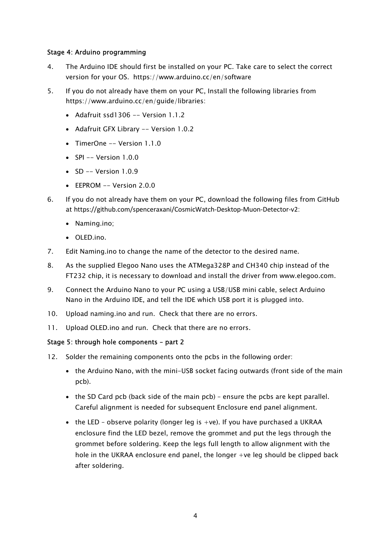### Stage 4: Arduino programming

- 4. The Arduino IDE should first be installed on your PC. Take care to select the correct version for your OS. https://www.arduino.cc/en/software
- 5. If you do not already have them on your PC, Install the following libraries from https://www.arduino.cc/en/guide/libraries:
	- Adafruit ssd1306 -- Version 1.1.2
	- Adafruit GFX Library -- Version 1.0.2
	- TimerOne -- Version 1.1.0
	- $SPI Version 1.0.0$
	- $SD$  -- Version  $1.0.9$
	- $\bullet$  EEPROM -- Version 2.0.0
- 6. If you do not already have them on your PC, download the following files from GitHub at https://github.com/spenceraxani/CosmicWatch-Desktop-Muon-Detector-v2:
	- Naming.ino;
	- OLED.ino.
- 7. Edit Naming.ino to change the name of the detector to the desired name.
- 8. As the supplied Elegoo Nano uses the ATMega328P and CH340 chip instead of the FT232 chip, it is necessary to download and install the driver from www.elegoo.com.
- 9. Connect the Arduino Nano to your PC using a USB/USB mini cable, select Arduino Nano in the Arduino IDE, and tell the IDE which USB port it is plugged into.
- 10. Upload naming.ino and run. Check that there are no errors.
- 11. Upload OLED.ino and run. Check that there are no errors.

### Stage 5: through hole components – part 2

- 12. Solder the remaining components onto the pcbs in the following order:
	- the Arduino Nano, with the mini-USB socket facing outwards (front side of the main pcb).
	- $\bullet$  the SD Card pcb (back side of the main pcb) ensure the pcbs are kept parallel. Careful alignment is needed for subsequent Enclosure end panel alignment.
	- the LED observe polarity (longer leg is  $+ve$ ). If you have purchased a UKRAA enclosure find the LED bezel, remove the grommet and put the legs through the grommet before soldering. Keep the legs full length to allow alignment with the hole in the UKRAA enclosure end panel, the longer +ve leg should be clipped back after soldering.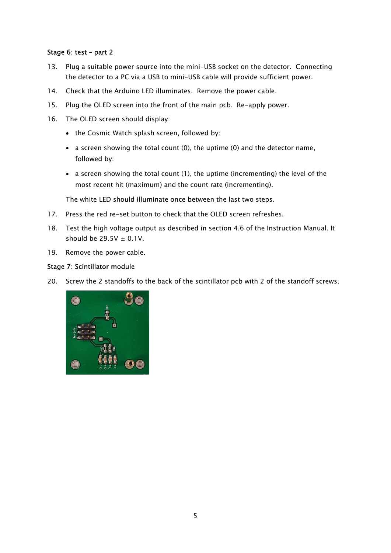### Stage 6: test – part 2

- 13. Plug a suitable power source into the mini-USB socket on the detector. Connecting the detector to a PC via a USB to mini-USB cable will provide sufficient power.
- 14. Check that the Arduino LED illuminates. Remove the power cable.
- 15. Plug the OLED screen into the front of the main pcb. Re-apply power.
- 16. The OLED screen should display:
	- the Cosmic Watch splash screen, followed by:
	- a screen showing the total count (0), the uptime (0) and the detector name, followed by:
	- a screen showing the total count (1), the uptime (incrementing) the level of the most recent hit (maximum) and the count rate (incrementing).

The white LED should illuminate once between the last two steps.

- 17. Press the red re-set button to check that the OLED screen refreshes.
- 18. Test the high voltage output as described in section 4.6 of the Instruction Manual. It should be  $29.5V \pm 0.1V$ .
- 19. Remove the power cable.

### Stage 7: Scintillator module

20. Screw the 2 standoffs to the back of the scintillator pcb with 2 of the standoff screws.

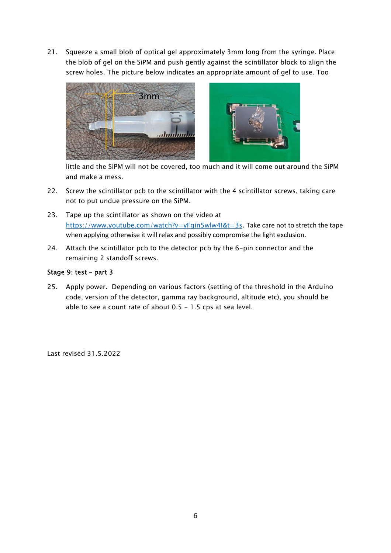21. Squeeze a small blob of optical gel approximately 3mm long from the syringe. Place the blob of gel on the SiPM and push gently against the scintillator block to align the screw holes. The picture below indicates an appropriate amount of gel to use. Too



little and the SiPM will not be covered, too much and it will come out around the SiPM and make a mess.

- 22. Screw the scintillator pcb to the scintillator with the 4 scintillator screws, taking care not to put undue pressure on the SiPM.
- 23. Tape up the scintillator as shown on the video at https://www.youtube.com/watch?v=yFgin5wlw4I&t=3s. Take care not to stretch the tape when applying otherwise it will relax and possibly compromise the light exclusion.
- 24. Attach the scintillator pcb to the detector pcb by the 6-pin connector and the remaining 2 standoff screws.

#### Stage 9: test – part 3

25. Apply power. Depending on various factors (setting of the threshold in the Arduino code, version of the detector, gamma ray background, altitude etc), you should be able to see a count rate of about  $0.5 - 1.5$  cps at sea level.

Last revised 31.5.2022